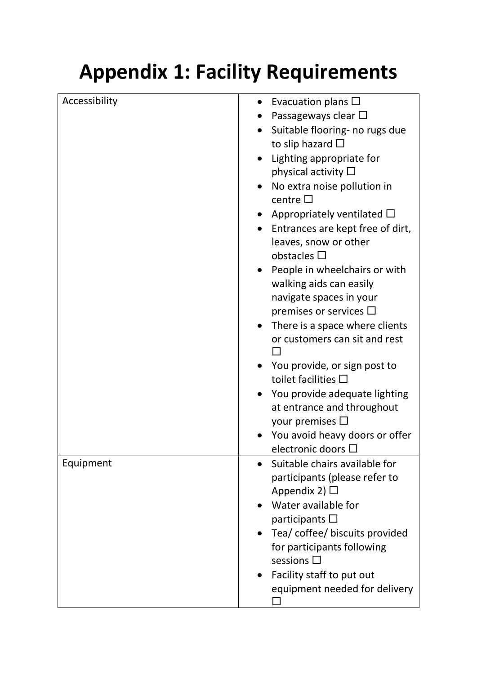## **Appendix 1: Facility Requirements**

| Accessibility | Evacuation plans $\square$       |
|---------------|----------------------------------|
|               | Passageways clear $\square$      |
|               | Suitable flooring- no rugs due   |
|               | to slip hazard $\square$         |
|               | Lighting appropriate for         |
|               | physical activity $\square$      |
|               | No extra noise pollution in      |
|               | centre $\square$                 |
|               | Appropriately ventilated $\Box$  |
|               | Entrances are kept free of dirt, |
|               | leaves, snow or other            |
|               | obstacles $\square$              |
|               | People in wheelchairs or with    |
|               | walking aids can easily          |
|               | navigate spaces in your          |
|               | premises or services $\square$   |
|               | There is a space where clients   |
|               | or customers can sit and rest    |
|               |                                  |
|               | You provide, or sign post to     |
|               | toilet facilities $\Box$         |
|               | You provide adequate lighting    |
|               | at entrance and throughout       |
|               | your premises $\Box$             |
|               | You avoid heavy doors or offer   |
|               | electronic doors $\square$       |
| Equipment     | Suitable chairs available for    |
|               | participants (please refer to    |
|               | Appendix 2) $\Box$               |
|               | Water available for              |
|               | participants $\square$           |
|               | Tea/ coffee/ biscuits provided   |
|               | for participants following       |
|               | sessions $\square$               |
|               | Facility staff to put out        |
|               | equipment needed for delivery    |
|               |                                  |